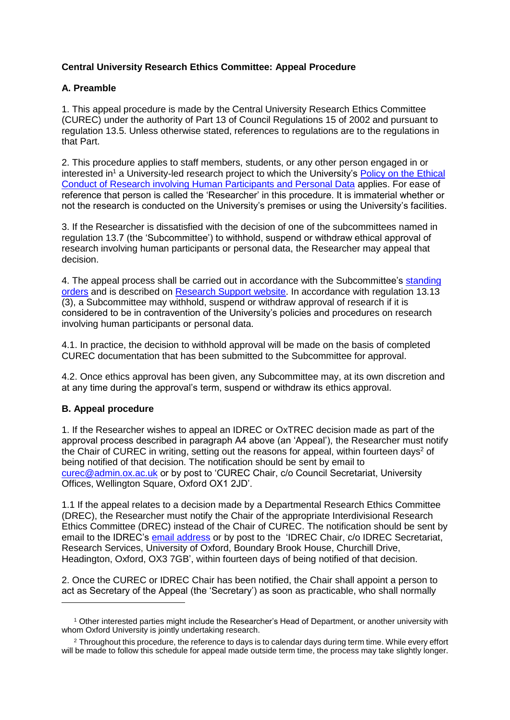## **Central University Research Ethics Committee: Appeal Procedure**

## **A. Preamble**

1. This appeal procedure is made by the Central University Research Ethics Committee (CUREC) under the authority of Part 13 of Council Regulations 15 of 2002 and pursuant to regulation 13.5. Unless otherwise stated, references to regulations are to the regulations in that Part.

2. This procedure applies to staff members, students, or any other person engaged in or interested in<sup>1</sup> a University-led research project to which the University's Policy on the Ethical [Conduct of Research involving Human Participants and Personal Data](https://researchsupport.admin.ox.ac.uk/governance/ethics/committees/policy) applies. For ease of reference that person is called the 'Researcher' in this procedure. It is immaterial whether or not the research is conducted on the University's premises or using the University's facilities.

3. If the Researcher is dissatisfied with the decision of one of the subcommittees named in regulation 13.7 (the 'Subcommittee') to withhold, suspend or withdraw ethical approval of research involving human participants or personal data, the Researcher may appeal that decision.

4. The appeal process shall be carried out in accordance with the Subcommittee's [standing](https://researchsupport.admin.ox.ac.uk/governance/ethics/committees)  [orders](https://researchsupport.admin.ox.ac.uk/governance/ethics/committees) and is described on [Research Support](https://researchsupport.admin.ox.ac.uk/governance/ethics/apply) website. In accordance with regulation 13.13 (3), a Subcommittee may withhold, suspend or withdraw approval of research if it is considered to be in contravention of the University's policies and procedures on research involving human participants or personal data.

4.1. In practice, the decision to withhold approval will be made on the basis of completed CUREC documentation that has been submitted to the Subcommittee for approval.

4.2. Once ethics approval has been given, any Subcommittee may, at its own discretion and at any time during the approval's term, suspend or withdraw its ethics approval.

## **B. Appeal procedure**

1. If the Researcher wishes to appeal an IDREC or OxTREC decision made as part of the approval process described in paragraph A4 above (an 'Appeal'), the Researcher must notify the Chair of CUREC in writing, setting out the reasons for appeal, within fourteen days<sup>2</sup> of being notified of that decision. The notification should be sent by email to [curec@admin.ox.ac.uk](mailto:curec@admin.ox.ac.uk) or by post to 'CUREC Chair, c/o Council Secretariat, University Offices, Wellington Square, Oxford OX1 2JD'.

1.1 If the appeal relates to a decision made by a Departmental Research Ethics Committee (DREC), the Researcher must notify the Chair of the appropriate Interdivisional Research Ethics Committee (DREC) instead of the Chair of CUREC. The notification should be sent by email to the IDREC's [email address](https://researchsupport.admin.ox.ac.uk/governance/ethics/contacts) or by post to the 'IDREC Chair, c/o IDREC Secretariat. Research Services, University of Oxford, Boundary Brook House, Churchill Drive, Headington, Oxford, OX3 7GB', within fourteen days of being notified of that decision.

2. Once the CUREC or IDREC Chair has been notified, the Chair shall appoint a person to act as Secretary of the Appeal (the 'Secretary') as soon as practicable, who shall normally -

<sup>1</sup> Other interested parties might include the Researcher's Head of Department, or another university with whom Oxford University is jointly undertaking research.

<sup>&</sup>lt;sup>2</sup> Throughout this procedure, the reference to days is to calendar days during term time. While every effort will be made to follow this schedule for appeal made outside term time, the process may take slightly longer.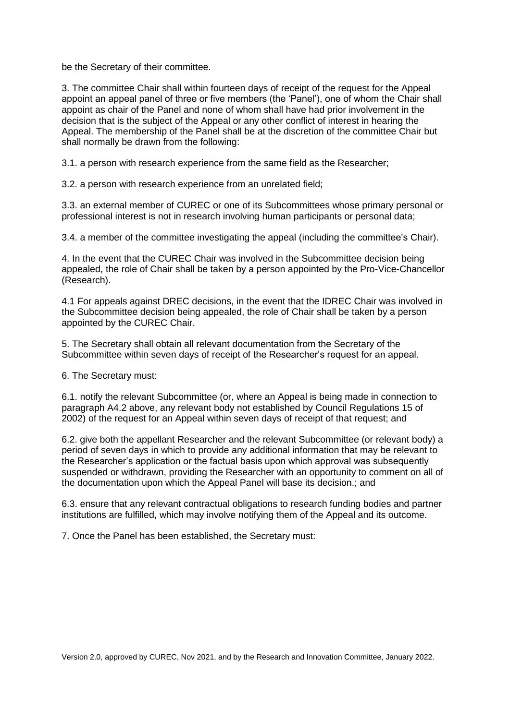be the Secretary of their committee.

3. The committee Chair shall within fourteen days of receipt of the request for the Appeal appoint an appeal panel of three or five members (the 'Panel'), one of whom the Chair shall appoint as chair of the Panel and none of whom shall have had prior involvement in the decision that is the subject of the Appeal or any other conflict of interest in hearing the Appeal. The membership of the Panel shall be at the discretion of the committee Chair but shall normally be drawn from the following:

3.1. a person with research experience from the same field as the Researcher;

3.2. a person with research experience from an unrelated field;

3.3. an external member of CUREC or one of its Subcommittees whose primary personal or professional interest is not in research involving human participants or personal data;

3.4. a member of the committee investigating the appeal (including the committee's Chair).

4. In the event that the CUREC Chair was involved in the Subcommittee decision being appealed, the role of Chair shall be taken by a person appointed by the Pro-Vice-Chancellor (Research).

4.1 For appeals against DREC decisions, in the event that the IDREC Chair was involved in the Subcommittee decision being appealed, the role of Chair shall be taken by a person appointed by the CUREC Chair.

5. The Secretary shall obtain all relevant documentation from the Secretary of the Subcommittee within seven days of receipt of the Researcher's request for an appeal.

6. The Secretary must:

6.1. notify the relevant Subcommittee (or, where an Appeal is being made in connection to paragraph A4.2 above, any relevant body not established by Council Regulations 15 of 2002) of the request for an Appeal within seven days of receipt of that request; and

6.2. give both the appellant Researcher and the relevant Subcommittee (or relevant body) a period of seven days in which to provide any additional information that may be relevant to the Researcher's application or the factual basis upon which approval was subsequently suspended or withdrawn, providing the Researcher with an opportunity to comment on all of the documentation upon which the Appeal Panel will base its decision.; and

6.3. ensure that any relevant contractual obligations to research funding bodies and partner institutions are fulfilled, which may involve notifying them of the Appeal and its outcome.

7. Once the Panel has been established, the Secretary must: